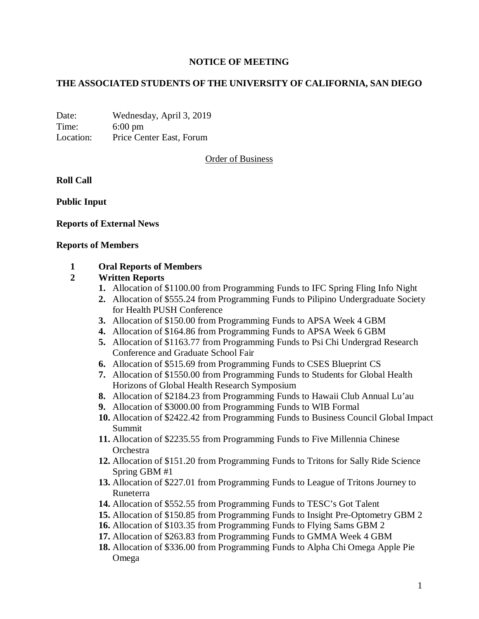### **NOTICE OF MEETING**

## **THE ASSOCIATED STUDENTS OF THE UNIVERSITY OF CALIFORNIA, SAN DIEGO**

Date: Wednesday, April 3, 2019 Time: 6:00 pm Location: Price Center East, Forum

Order of Business

**Roll Call**

**Public Input**

### **Reports of External News**

#### **Reports of Members**

### **1 Oral Reports of Members**

#### **2 Written Reports**

- **1.** Allocation of \$1100.00 from Programming Funds to IFC Spring Fling Info Night
- **2.** Allocation of \$555.24 from Programming Funds to Pilipino Undergraduate Society for Health PUSH Conference
- **3.** Allocation of \$150.00 from Programming Funds to APSA Week 4 GBM
- **4.** Allocation of \$164.86 from Programming Funds to APSA Week 6 GBM
- **5.** Allocation of \$1163.77 from Programming Funds to Psi Chi Undergrad Research Conference and Graduate School Fair
- **6.** Allocation of \$515.69 from Programming Funds to CSES Blueprint CS
- **7.** Allocation of \$1550.00 from Programming Funds to Students for Global Health Horizons of Global Health Research Symposium
- **8.** Allocation of \$2184.23 from Programming Funds to Hawaii Club Annual Lu'au
- **9.** Allocation of \$3000.00 from Programming Funds to WIB Formal
- **10.** Allocation of \$2422.42 from Programming Funds to Business Council Global Impact Summit
- **11.** Allocation of \$2235.55 from Programming Funds to Five Millennia Chinese **Orchestra**
- **12.** Allocation of \$151.20 from Programming Funds to Tritons for Sally Ride Science Spring GBM #1
- **13.** Allocation of \$227.01 from Programming Funds to League of Tritons Journey to Runeterra
- **14.** Allocation of \$552.55 from Programming Funds to TESC's Got Talent
- **15.** Allocation of \$150.85 from Programming Funds to Insight Pre-Optometry GBM 2
- **16.** Allocation of \$103.35 from Programming Funds to Flying Sams GBM 2
- **17.** Allocation of \$263.83 from Programming Funds to GMMA Week 4 GBM
- **18.** Allocation of \$336.00 from Programming Funds to Alpha Chi Omega Apple Pie Omega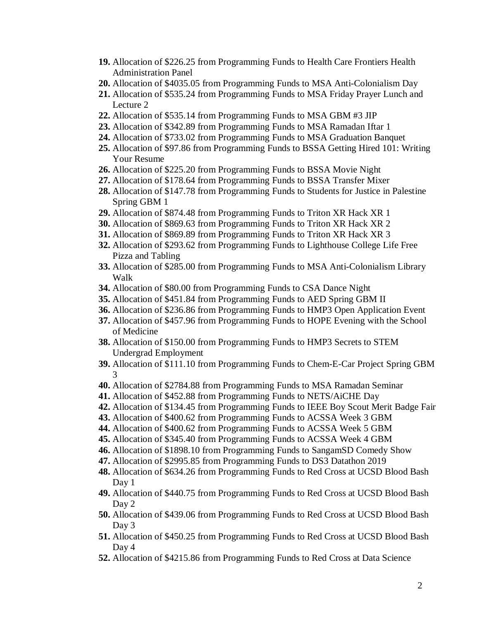- **19.** Allocation of \$226.25 from Programming Funds to Health Care Frontiers Health Administration Panel
- **20.** Allocation of \$4035.05 from Programming Funds to MSA Anti-Colonialism Day
- **21.** Allocation of \$535.24 from Programming Funds to MSA Friday Prayer Lunch and Lecture 2
- **22.** Allocation of \$535.14 from Programming Funds to MSA GBM #3 JIP
- **23.** Allocation of \$342.89 from Programming Funds to MSA Ramadan Iftar 1
- **24.** Allocation of \$733.02 from Programming Funds to MSA Graduation Banquet
- **25.** Allocation of \$97.86 from Programming Funds to BSSA Getting Hired 101: Writing Your Resume
- **26.** Allocation of \$225.20 from Programming Funds to BSSA Movie Night
- **27.** Allocation of \$178.64 from Programming Funds to BSSA Transfer Mixer
- **28.** Allocation of \$147.78 from Programming Funds to Students for Justice in Palestine Spring GBM 1
- **29.** Allocation of \$874.48 from Programming Funds to Triton XR Hack XR 1
- **30.** Allocation of \$869.63 from Programming Funds to Triton XR Hack XR 2
- **31.** Allocation of \$869.89 from Programming Funds to Triton XR Hack XR 3
- **32.** Allocation of \$293.62 from Programming Funds to Lighthouse College Life Free Pizza and Tabling
- **33.** Allocation of \$285.00 from Programming Funds to MSA Anti-Colonialism Library Walk
- **34.** Allocation of \$80.00 from Programming Funds to CSA Dance Night
- **35.** Allocation of \$451.84 from Programming Funds to AED Spring GBM II
- **36.** Allocation of \$236.86 from Programming Funds to HMP3 Open Application Event
- **37.** Allocation of \$457.96 from Programming Funds to HOPE Evening with the School of Medicine
- **38.** Allocation of \$150.00 from Programming Funds to HMP3 Secrets to STEM Undergrad Employment
- **39.** Allocation of \$111.10 from Programming Funds to Chem-E-Car Project Spring GBM 3
- **40.** Allocation of \$2784.88 from Programming Funds to MSA Ramadan Seminar
- **41.** Allocation of \$452.88 from Programming Funds to NETS/AiCHE Day
- **42.** Allocation of \$134.45 from Programming Funds to IEEE Boy Scout Merit Badge Fair
- **43.** Allocation of \$400.62 from Programming Funds to ACSSA Week 3 GBM
- **44.** Allocation of \$400.62 from Programming Funds to ACSSA Week 5 GBM
- **45.** Allocation of \$345.40 from Programming Funds to ACSSA Week 4 GBM
- **46.** Allocation of \$1898.10 from Programming Funds to SangamSD Comedy Show
- **47.** Allocation of \$2995.85 from Programming Funds to DS3 Datathon 2019
- **48.** Allocation of \$634.26 from Programming Funds to Red Cross at UCSD Blood Bash Day 1
- **49.** Allocation of \$440.75 from Programming Funds to Red Cross at UCSD Blood Bash Day 2
- **50.** Allocation of \$439.06 from Programming Funds to Red Cross at UCSD Blood Bash Day 3
- **51.** Allocation of \$450.25 from Programming Funds to Red Cross at UCSD Blood Bash Day 4
- **52.** Allocation of \$4215.86 from Programming Funds to Red Cross at Data Science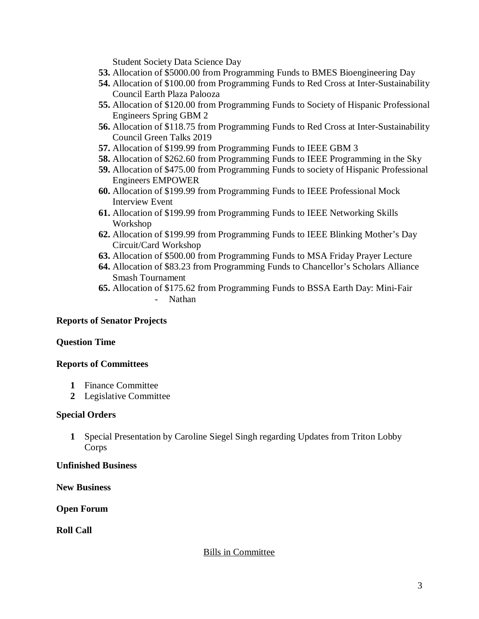Student Society Data Science Day

- **53.** Allocation of \$5000.00 from Programming Funds to BMES Bioengineering Day
- **54.** Allocation of \$100.00 from Programming Funds to Red Cross at Inter-Sustainability Council Earth Plaza Palooza
- **55.** Allocation of \$120.00 from Programming Funds to Society of Hispanic Professional Engineers Spring GBM 2
- **56.** Allocation of \$118.75 from Programming Funds to Red Cross at Inter-Sustainability Council Green Talks 2019
- **57.** Allocation of \$199.99 from Programming Funds to IEEE GBM 3
- **58.** Allocation of \$262.60 from Programming Funds to IEEE Programming in the Sky
- **59.** Allocation of \$475.00 from Programming Funds to society of Hispanic Professional Engineers EMPOWER
- **60.** Allocation of \$199.99 from Programming Funds to IEEE Professional Mock Interview Event
- **61.** Allocation of \$199.99 from Programming Funds to IEEE Networking Skills Workshop
- **62.** Allocation of \$199.99 from Programming Funds to IEEE Blinking Mother's Day Circuit/Card Workshop
- **63.** Allocation of \$500.00 from Programming Funds to MSA Friday Prayer Lecture
- **64.** Allocation of \$83.23 from Programming Funds to Chancellor's Scholars Alliance Smash Tournament
- **65.** Allocation of \$175.62 from Programming Funds to BSSA Earth Day: Mini-Fair - Nathan

# **Reports of Senator Projects**

### **Question Time**

# **Reports of Committees**

- **1** Finance Committee
- **2** Legislative Committee

### **Special Orders**

**1** Special Presentation by Caroline Siegel Singh regarding Updates from Triton Lobby Corps

### **Unfinished Business**

**New Business**

# **Open Forum**

**Roll Call**

# Bills in Committee